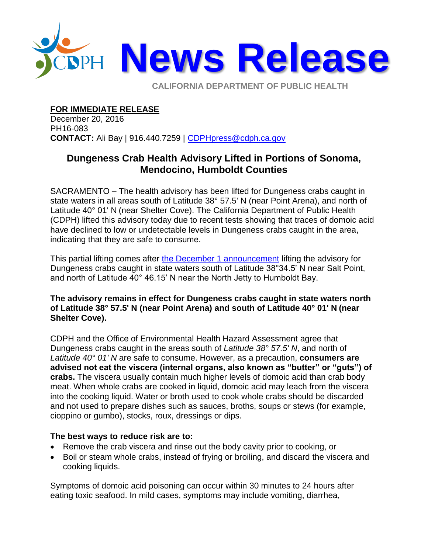

**CALIFORNIA DEPARTMENT OF PUBLIC HEALTH** 

**FOR IMMEDIATE RELEASE**

December 20, 2016 PH16-083 **CONTACT:** Ali Bay | 916.440.7259 | [CDPHpress@cdph.ca.gov](mailto:CDPHpress@cdph.ca.gov)

## **Dungeness Crab Health Advisory Lifted in Portions of Sonoma, Mendocino, Humboldt Counties**

SACRAMENTO – The health advisory has been lifted for Dungeness crabs caught in state waters in all areas south of Latitude 38° 57.5' N (near Point Arena), and north of Latitude 40° 01' N (near Shelter Cove). The California Department of Public Health (CDPH) lifted this advisory today due to recent tests showing that traces of domoic acid have declined to low or undetectable levels in Dungeness crabs caught in the area, indicating that they are safe to consume.

This partial lifting comes after [the December 1 announcement](http://www.cdph.ca.gov/Pages/NR16-076.aspx) lifting the advisory for Dungeness crabs caught in state waters south of Latitude 38°34.5' N near Salt Point, and north of Latitude 40° 46.15' N near the North Jetty to Humboldt Bay.

## **The advisory remains in effect for Dungeness crabs caught in state waters north of Latitude 38° 57.5' N (near Point Arena) and south of Latitude 40° 01' N (near Shelter Cove).**

CDPH and the Office of Environmental Health Hazard Assessment agree that Dungeness crabs caught in the areas south of *Latitude 38° 57.5' N*, and north of *Latitude 40° 01' N* are safe to consume. However, as a precaution, **consumers are advised not eat the viscera (internal organs, also known as "butter" or "guts") of crabs.** The viscera usually contain much higher levels of domoic acid than crab body meat. When whole crabs are cooked in liquid, domoic acid may leach from the viscera into the cooking liquid. Water or broth used to cook whole crabs should be discarded and not used to prepare dishes such as sauces, broths, soups or stews (for example, cioppino or gumbo), stocks, roux, dressings or dips.

## **The best ways to reduce risk are to:**

- Remove the crab viscera and rinse out the body cavity prior to cooking, or
- Boil or steam whole crabs, instead of frying or broiling, and discard the viscera and cooking liquids.

Symptoms of domoic acid poisoning can occur within 30 minutes to 24 hours after eating toxic seafood. In mild cases, symptoms may include vomiting, diarrhea,